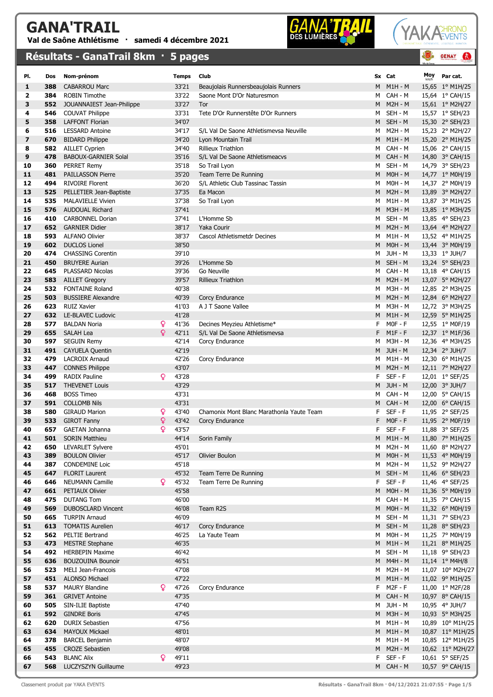## CANA'TRAIL



## YAKA CHRONO EVENTS

Moy Par cat.

**GENAY** 

 $\mathbf{a}$ 

|                         |     | Résultats - GanaTrail 8km · 5 pages |   |              |                                         |    |                | 5<br>We de Ger |
|-------------------------|-----|-------------------------------------|---|--------------|-----------------------------------------|----|----------------|----------------|
| PI.                     | Dos | Nom-prénom                          |   | <b>Temps</b> | <b>Club</b>                             |    | Sx Cat         | Mo             |
| 1                       | 388 | <b>CABARROU Marc</b>                |   | 33'21        | Beaujolais Runnersbeaujolais Runners    | M  | $M1H - M$      | 15,6           |
| $\overline{\mathbf{2}}$ | 384 | <b>ROBIN Timothe</b>                |   | 33'22        | Saone Mont D'Or Naturesmon              | м  | CAH - M        | 15,6           |
| 3                       | 552 | JOUANNAIEST Jean-Philippe           |   | 33'27        | <b>Tor</b>                              | M  | $M2H - M$      | 15,6           |
| 4                       | 546 | <b>COUVAT Philippe</b>              |   | 33'31        | Tete D'Or Runnerstête D'Or Runners      | M  | SEH - M        | 15,5           |
| 5                       | 358 | <b>LAFFONT Florian</b>              |   | 34'07        |                                         | M  | SEH - M        | 15,3           |
| 6                       | 516 | <b>LESSARD Antoine</b>              |   | 34'17        | S/L Val De Saone Athletismevsa Neuville | м  | $M2H - M$      | 15,2           |
| $\overline{ }$          | 670 | <b>BIDARD Philippe</b>              |   | 34'20        | Lyon Mountain Trail                     | M  | $M1H - M$      | 15,2           |
| 8                       |     | 582 AILLET Cyprien                  |   | 34'40        | Rillieux Triathlon                      | м  | CAH - M        | 15,0           |
| 9                       | 478 | <b>BABOUX-GARNIER Solal</b>         |   | 35'16        | S/L Val De Saone Athletismeacvs         | M  | CAH - M        | 14,8           |
| 10                      | 360 | <b>PERRET Remy</b>                  |   | 35'18        | So Trail Lyon                           | м  | SEH - M        | 14,7           |
| 11                      | 481 | <b>PAILLASSON Pierre</b>            |   | 35'20        | Team Terre De Running                   | M  | $MOH - M$      | 14,7           |
| 12                      | 494 | <b>RIVOIRE Florent</b>              |   | 36'20        | S/L Athletic Club Tassinac Tassin       | м  | $MOH - M$      | 14,3           |
| 13                      | 525 | PELLETIER Jean-Baptiste             |   | 37'35        | Ea Macon                                | M  | $M2H - M$      | 13,8           |
| 14                      | 535 | <b>MALAVIELLE Vivien</b>            |   | 37'38        | So Trail Lyon                           | м  | M1H - M        |                |
| 15                      | 576 | <b>AUDOUAL Richard</b>              |   | 37'41        |                                         | M  | <b>M3H - M</b> |                |
| 16                      | 410 | <b>CARBONNEL Dorian</b>             |   | 37'41        | L'Homme Sb                              | M  | SEH - M        |                |
| 17                      | 652 | <b>GARNIER Didier</b>               |   | 38'17        | <b>Yaka Courir</b>                      | M  | $M2H - M$      |                |
| 18                      | 593 | <b>ALFANO Olivier</b>               |   | 38'37        | Cascol Athletismetdr Decines            | M  | $M1H - M$      |                |
| 19                      | 602 | <b>DUCLOS Lionel</b>                |   | 38'50        |                                         | M  | $MOH - M$      |                |
| 20                      | 474 | <b>CHASSING Corentin</b>            |   | 39'10        |                                         | м  | JUH - M        |                |
| 21                      | 450 | <b>BRUYERE Aurian</b>               |   | 39'26        | L'Homme Sb                              | M  | SEH - M        |                |
| 22                      | 645 | PLASSARD Nicolas                    |   | 39'36        | Go Neuville                             | M  | CAH - M        |                |
| 23                      | 583 | <b>AILLET Gregory</b>               |   | 39'57        | <b>Rillieux Triathlon</b>               | M  | $M2H - M$      |                |
| 24                      | 532 | <b>FONTAINE Roland</b>              |   | 40'38        |                                         | м  | <b>M3H - M</b> |                |
| 25                      | 503 | <b>BUSSIERE Alexandre</b>           |   | 40'39        | Corcy Endurance                         | M  | $M2H - M$      | 12,8           |
| 26                      | 623 | <b>RUIZ Xavier</b>                  |   | 41'03        | A J T Saone Vallee                      | м  | <b>M3H - M</b> |                |
| 27                      | 632 | LE-BLAVEC Ludovic                   |   | 41'28        |                                         | M  | $M1H - M$      |                |
| 28                      | 577 | <b>BALDAN Noria</b>                 | Q | 41'36        | Decines Meyzieu Athletisme*             | F  | $MOF - F$      | 12,5           |
| 29                      | 655 | <b>SALAH Lea</b>                    | Q | 42'11        | S/L Val De Saone Athletismevsa          | F. | $M1F - F$      |                |
| 30                      | 597 | <b>SEGUIN Remy</b>                  |   | 42'14        | Corcy Endurance                         | M  | <b>M3H - M</b> |                |
| 31                      | 491 | <b>CAYUELA Quentin</b>              |   | 42'19        |                                         |    | M JUH-M        |                |
| 32                      | 479 | <b>LACROIX Arnaud</b>               |   | 42'26        | Corcy Endurance                         | м  | $M1H - M$      |                |
| 33                      | 447 | <b>CONNES Philippe</b>              |   | 43'07        |                                         | M  | $M2H - M$      | 12,3<br>12,1   |
| 34                      | 499 | <b>RADIX Pauline</b>                | Q | 43'28        |                                         | F  | $SEF - F$      |                |
| 35                      | 517 | <b>THEVENET Louis</b>               |   | 43'29        |                                         | м  | JUH - M        | 12,0<br>12,0   |
|                         |     |                                     |   |              |                                         |    |                |                |

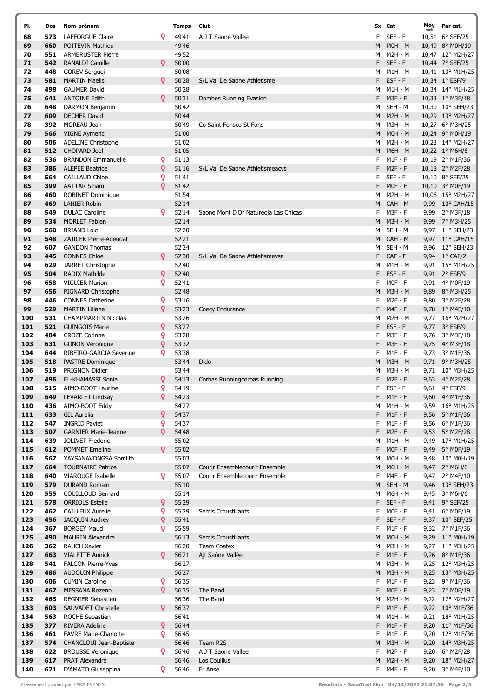| PI. | Dos | Nom-prénom                     |   | <b>Temps</b> | Club                                 |    | Sx Cat         | Moy<br>km/h | Par cat.                |
|-----|-----|--------------------------------|---|--------------|--------------------------------------|----|----------------|-------------|-------------------------|
| 68  | 573 | <b>LAFFORGUE Claire</b>        | Q | 49'41        | A J T Saone Vallee                   | F  | $SEF - F$      |             | 10,51 6° SEF/25         |
| 69  | 660 | POITEVIN Mathieu               |   | 49'46        |                                      | M  | $MOH - M$      |             | 10,49 8° M0H/19         |
| 70  | 551 | <b>ARMBRUSTER Pierre</b>       |   | 49'52        |                                      | м  | <b>M2H - M</b> |             | 10,47 12° M2H/27        |
| 71  | 542 | <b>RANALDI Camille</b>         | Q | 50'00        |                                      | F  | $SEF - F$      |             | 10,44 7° SEF/25         |
| 72  | 448 | <b>GOREV Serguei</b>           |   | 50'08        |                                      | м  | M1H - M        |             | 10,41 13° M1H/25        |
| 73  | 581 | <b>MARTIN Maelis</b>           | Q | 50'28        | S/L Val De Saone Athletisme          | F  | $EST - F$      |             | 10,34 1° ESF/9          |
| 74  | 498 | <b>GAUMER David</b>            |   | 50'28        |                                      | м  | M1H - M        |             | 10,34 14° M1H/25        |
| 75  | 641 | <b>ANTOINE Edith</b>           | Q | 50'31        | Dombes Running Evasion               | F  | $M3F - F$      |             | 10,33 1° M3F/18         |
| 76  | 648 | DARMON Benjamin                |   | 50'42        |                                      | м  | SEH - M        |             | 10,30 10° SEH/23        |
| 77  | 609 | <b>DECHER David</b>            |   | 50'44        |                                      | M  | <b>M2H - M</b> |             | 10,29 13° M2H/27        |
| 78  | 392 | MOREAU Jean                    |   | 50'49        | Co Saint Fonsco St-Fons              | м  | <b>M3H - M</b> |             | 10,27 6° M3H/25         |
| 79  | 566 | <b>VIGNE Aymeric</b>           |   | 51'00        |                                      | M  | $MOH - M$      |             | 10,24 9° M0H/19         |
| 80  | 506 | <b>ADELINE Christophe</b>      |   | 51'02        |                                      | м  | <b>M2H - M</b> |             | 10,23 14° M2H/27        |
| 81  | 512 | <b>CHOPARD Joel</b>            |   | 51'05        |                                      | M  | <b>M6H - M</b> |             | 10,22 1° M6H/6          |
| 82  | 536 | <b>BRANDON Emmanuelle</b>      | Q | 51'13        |                                      | F  | $M1F - F$      |             | 10,19 2° M1F/36         |
| 83  | 386 | <b>ALEPEE Beatrice</b>         | ¥ | 51'16        | S/L Val De Saone Athletismeacvs      | F. | $M2F - F$      |             | 10,18 2° M2F/28         |
| 84  | 564 | <b>CAILLAUD Chloe</b>          | Q | 51'41        |                                      | F. | $SEF - F$      |             | 10,10 8° SEF/25         |
| 85  | 399 | <b>AATTAR Siham</b>            | Q | 51'42        |                                      | F  | $MOF - F$      |             | 10,10 3° MOF/19         |
| 86  | 460 | <b>ROBINET Dominique</b>       |   | 51'54        |                                      | M  | <b>M2H - M</b> |             | 10,06 15° M2H/27        |
| 87  | 469 | <b>LANIER Robin</b>            |   | 52'14        |                                      | М  | CAH - M        |             | 9,99 10° CAH/15         |
| 88  | 549 | <b>DULAC Caroline</b>          | Q | 52'14        | Saone Mont D'Or Natureola Las Chicas | F  | $M3F - F$      | 9,99        | $2^{\circ}$ M3F/18      |
| 89  | 534 | <b>MORLET Fabien</b>           |   | 52'14        |                                      | M  | <b>M3H - M</b> |             | 9,99 7° M3H/25          |
| 90  | 560 | <b>BRIAND Loic</b>             |   | 52'20        |                                      | м  | SEH - M        |             | 9,97 11° SEH/23         |
| 91  | 548 | <b>ZAJICEK Pierre-Adeodat</b>  |   | 52'21        |                                      | M  | CAH - M        |             | 9,97 11° CAH/15         |
| 92  | 607 | <b>GANDON Thomas</b>           |   | 52'24        |                                      | м  | SEH - M        |             | 9,96 12° SEH/23         |
| 93  | 445 | <b>CONNES Chloe</b>            | Q | 52'30        | S/L Val De Saone Athletismevsa       | F  | $CAF - F$      |             | 9,94 1° CAF/2           |
| 94  | 629 | JARRET Christophe              |   | 52'40        |                                      | м  | M1H - M        |             | 9,91 15° M1H/25         |
| 95  | 504 | <b>RADIX Mathilde</b>          | Q | 52'40        |                                      | F  | $EST - F$      |             | 9,91 2° ESF/9           |
| 96  | 658 | <b>VIGUIER Marion</b>          | Q | 52'41        |                                      | F  | $MOF - F$      |             | 9,91 4° M0F/19          |
| 97  | 656 | PIGNARD Christophe             |   | 52'48        |                                      | M  | <b>M3H - M</b> | 9,89        | 8° M3H/25               |
| 98  | 446 | <b>CONNES Catherine</b>        | Q | 53'16        |                                      | F. | $M2F - F$      |             | 9,80 3° M2F/28          |
| 99  | 529 | <b>MARTIN Liliane</b>          | Q | 53'23        | Coecy Endurance                      | F  | $M4F - F$      |             | 9,78 1° M4F/10          |
| 100 | 531 | <b>CHAMPMARTIN Nicolas</b>     |   | 53'26        |                                      | м  | <b>M2H - M</b> | 9,77        | 16° M2H/27              |
| 101 | 521 | <b>GUINGOIS Marie</b>          | Q | 53'27        |                                      | F  | ESF-F          |             | 9,77 3° ESF/9           |
| 102 | 484 | <b>CROZE Corinne</b>           | Q | 53'28        |                                      | F  | $M3F - F$      |             | 9,76 $3^{\circ}$ M3F/18 |
| 103 | 631 | <b>GONON Veronique</b>         | Q | 53'32        |                                      | F  | $M3F - F$      |             | 9,75 4° M3F/18          |
| 104 | 644 | RIBEIRO-GARCIA Severine        | Q | 53'38        |                                      | F  | $M1F - F$      |             | 9,73 3° M1F/36          |
| 105 | 518 | <b>PASTRE Dominique</b>        |   | 53'44        | Dido                                 | M  | <b>M3H - M</b> |             | 9,71 9° M3H/25          |
| 106 | 519 | <b>PRIGNON Didier</b>          |   | 53'44        |                                      | M  | M3H - M        |             | 9,71 10° M3H/25         |
| 107 | 496 | <b>EL-KHAMASSI Sonia</b>       | ¥ | 54'13        | Corbas Runningcorbas Running         | F  | $M2F - F$      |             | 9,63 4° M2F/28          |
| 108 | 515 | AIMO-BOOT Laurine              | Q | 54'19        |                                      | F. | $EST - F$      |             | 9,61 4° ESF/9           |
| 109 | 649 | LEVARLET Lindsay               | Q | 54'23        |                                      |    | $F$ M1F-F      |             | 9,60 4° M1F/36          |
| 110 | 436 | AIMO-BOOT Eddy                 |   | 54'27        |                                      |    | M M1H-M        |             | 9,59 16° M1H/25         |
| 111 | 633 | GIL Aurelia                    | Q | 54'37        |                                      |    | $F$ M1F-F      |             | 9,56 5° M1F/36          |
| 112 | 547 | <b>INGRID Paviet</b>           | Q | 54'37        |                                      | F. | $M1F - F$      |             | 9,56 6° M1F/36          |
| 113 | 507 | <b>GARNIER Marie-Jeanne</b>    | Q | 54'48        |                                      | F. | $M2F - F$      |             | 9,53 5° M2F/28          |
| 114 | 639 | <b>JOLIVET Frederic</b>        |   | 55'02        |                                      | M  | M1H - M        |             | 9,49 17° M1H/25         |
| 115 | 612 | <b>POMMET Emeline</b>          | Q | 55'02        |                                      | F. | $MOF - F$      |             | 9,49 5° MOF/19          |
| 116 | 567 | XAYSANAVONGSA Somlith          |   | 55'03        |                                      | м  | $MOH - M$      |             | 9,48 10° M0H/19         |
| 117 | 664 | <b>TOURNAIRE Patrice</b>       |   | 55'07        | Courir Ensemblecourir Ensemble       | M  | <b>M6H - M</b> |             | 9,47 2° M6H/6           |
| 118 | 640 | <b>VIAROUGE Isabelle</b>       | Q | 55'07        | Courir Ensemblecourir Ensemble       | F. | $M4F - F$      |             | 9,47 2° M4F/10          |
| 119 | 579 | <b>DURAND Romain</b>           |   | 55'10        |                                      | М  | SEH - M        |             | 9,46 13° SEH/23         |
| 120 | 555 | COUILLOUD Bernard              |   | 55'14        |                                      | м  | <b>M6H - M</b> |             | 9,45 3° M6H/6           |
| 121 | 578 | <b>ORRIOLS Estelle</b>         | Q | 55'29        |                                      | F  | SEF-F          |             | 9,41 9° SEF/25          |
| 122 | 462 | <b>CAILLEUX Aurelie</b>        | Q | 55'29        | Semis Croustillants                  | F. | $MOF - F$      |             | 9,41 6° M0F/19          |
| 123 | 456 | <b>JACQUIN Audrey</b>          | Q | 55'41        |                                      | F. | SEF-F          |             | 9,37 10° SEF/25         |
| 124 | 367 | <b>BORGEY Maud</b>             | Q | 55'59        |                                      | F. | $M1F - F$      |             | 9,32 7° M1F/36          |
| 125 | 490 | <b>MAURIN Alexandre</b>        |   | 56'13        | Semis Croustillants                  | M  | $MOH - M$      |             | 9,29 11° M0H/19         |
| 126 | 362 | <b>RAUCH Xavier</b>            |   | 56'20        | <b>Team Coatex</b>                   | м  | <b>M3H - M</b> |             | 9,27 11° M3H/25         |
| 127 | 663 | <b>VIALETTE Annick</b>         | Q | 56'21        | Ajt Saône Vallée                     | F. | $M1F - F$      |             | 9,26 8° M1F/36          |
| 128 | 541 | <b>FALCON Pierre-Yves</b>      |   | 56'27        |                                      | м  | <b>M3H - M</b> |             | 9,25 12° M3H/25         |
| 129 | 486 | <b>AUDOUIN Philippe</b>        |   | 56'27        |                                      | M  | <b>M3H - M</b> |             | 9,25 13° M3H/25         |
| 130 | 606 | <b>CUMIN Caroline</b>          | Q | 56'35        |                                      | F. | $M1F - F$      |             | 9,23 9° M1F/36          |
| 131 | 467 | <b>MESSANA Rozenn</b>          | Q | 56'35        | The Band                             | F. | $MOF - F$      |             | 9,23 7° MOF/19          |
| 132 | 465 | <b>REGNIER Sebastien</b>       |   | 56'36        | The Band                             | M  | M2H - M        |             | 9,22 17° M2H/27         |
| 133 | 603 | <b>SAUVADET Christelle</b>     | Q | 56'37        |                                      |    | $F$ M1F-F      |             | 9,22 10° M1F/36         |
| 134 | 563 | <b>ROCHE Sebastien</b>         |   | 56'41        |                                      | м  | M1H - M        |             | 9,21 18° M1H/25         |
| 135 | 377 | <b>RIVERA Adeline</b>          | ¥ | 56'44        |                                      |    | $F$ M1F-F      |             | 9,20 11° M1F/36         |
| 136 | 461 | <b>FAVRE Marie-Charlotte</b>   | Q | 56'45        |                                      |    | $F$ M1F-F      |             | 9,20 12° M1F/36         |
| 137 | 574 | <b>CHANCLOUI Jean-Baptiste</b> |   | 56'46        | Team R2S                             | M  | <b>M3H - M</b> |             | 9,20 14° M3H/25         |
| 138 | 622 | <b>BROUSSE Veronique</b>       | Q | 56'46        | A J T Saone Vallee                   | F. | $M2F - F$      |             | 9,20 6° M2F/28          |
| 139 | 617 | <b>PRAT Alexandre</b>          |   | 56'46        | Los Couillus                         | M  | $M2H - M$      |             | 9,20 18° M2H/27         |
| 140 | 621 | D'AMATO Giuseppina             | Q | 56'46        | Fr Anse                              |    | F M4F-F        |             | 9,20 3° M4F/10          |

Classement produit par YAKA EVENTS **Résultation Classement produit par YAKA EVENTS Page 2/5**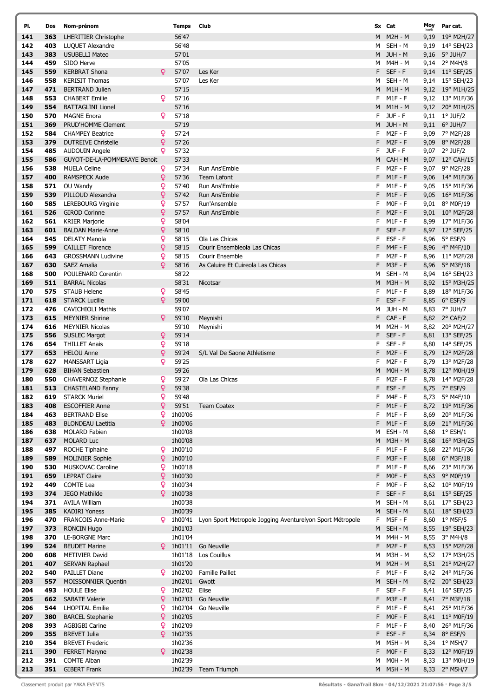| PI.        | Dos        | Nom-prénom                                        |        | <b>Temps</b>       | Club                                                      |         | Sx Cat                 | Moy  | Par cat.                           |
|------------|------------|---------------------------------------------------|--------|--------------------|-----------------------------------------------------------|---------|------------------------|------|------------------------------------|
| 141        | 363        | <b>LHERITIER Christophe</b>                       |        | 56'47              |                                                           | M       | <b>M2H - M</b>         | 9,19 | 19° M2H/27                         |
| 142        | 403        | LUQUET Alexandre                                  |        | 56'48              |                                                           | м       | SEH - M                |      | 9,19 14° SEH/23                    |
| 143        | 383        | <b>USUBELLI Mateo</b>                             |        | 57'01              |                                                           |         | M JUH - M              |      | 9,16 5° JUH/7                      |
| 144        | 459        | SIDO Herve                                        |        | 57'05              |                                                           | м       | M4H - M                |      | 9,14 2° M4H/8                      |
| 145        | 559        | <b>KERBRAT Shona</b>                              | Q      | 57'07              | Les Ker                                                   | F       | SEF-F                  |      | 9,14 11° SEF/25                    |
| 146        | 558        | <b>KERISIT Thomas</b>                             |        | 57'07              | Les Ker                                                   | м       | SEH - M                |      | 9,14 15° SEH/23                    |
| 147        | 471        | <b>BERTRAND Julien</b>                            |        | 57'15<br>57'16     |                                                           | М       | $M1H - M$              |      | 9,12 19° M1H/25                    |
| 148<br>149 | 553<br>554 | <b>CHABERT Emilie</b><br><b>BATTAGLINI Lionel</b> | Q      | 57'16              |                                                           | F<br>М  | $M1F - F$<br>M1H - M   |      | 9,12 13° M1F/36<br>9,12 20° M1H/25 |
| 150        | 570        | <b>MAGNE Enora</b>                                | Q      | 57'18              |                                                           | F       | JUF - F                |      | $9,11 \quad 1^{\circ}$ JUF/2       |
| 151        | 369        | <b>PRUD'HOMME Clement</b>                         |        | 57'19              |                                                           |         | M JUH-M                |      | 9,11 6° JUH/7                      |
| 152        | 584        | <b>CHAMPEY Beatrice</b>                           | Q      | 57'24              |                                                           | F       | $M2F - F$              |      | 9,09 7° M2F/28                     |
| 153        | 379        | <b>DUTREIVE Christelle</b>                        | ò      | 57'26              |                                                           | F.      | $M2F - F$              |      | 9,09 8° M2F/28                     |
| 154        | 485        | <b>AUDOUIN Angele</b>                             | Q      | 57'32              |                                                           | F       | JUF - F                |      | 9,07 2° JUF/2                      |
| 155        | 586        | GUYOT-DE-LA-POMMERAYE Benoit                      |        | 57'33              |                                                           | М       | CAH - M                |      | 9,07 12° CAH/15                    |
| 156        | 538        | <b>MUELA Celine</b>                               | Q      | 57'34              | Run Ans'Emble                                             | F       | $M2F - F$              |      | 9,07 9° M2F/28                     |
| 157        | 400        | <b>RAMSPECK Aude</b>                              | ¥      | 57'36              | <b>Team Lafont</b>                                        | F       | $M1F - F$              |      | 9,06 14° M1F/36                    |
| 158        | 571        | OU Wandy                                          | Q      | 57'40              | Run Ans'Emble                                             | F       | $M1F - F$              |      | 9,05 15° M1F/36                    |
| 159        | 539        | PILLOUD Alexandra                                 | Q      | 57'42              | Run Ans'Emble                                             | F       | $M1F - F$              |      | 9,05 16° M1F/36                    |
| 160        | 585        | LEREBOURG Virginie                                | Q      | 57'57              | Run'Ansemble                                              | F<br>F  | $MOF - F$<br>$M2F - F$ |      | 9,01 8° MOF/19                     |
| 161<br>162 | 526<br>561 | <b>GIROD Corinne</b><br><b>KRIER Marjorie</b>     | Q<br>¥ | 57'57<br>58'04     | Run Ans'Emble                                             | F       | $M1F - F$              |      | 9,01 10° M2F/28<br>8,99 17° M1F/36 |
| 163        | 601        | <b>BALDAN Marie-Anne</b>                          | Q      | 58'10              |                                                           | F       | $SEF - F$              |      | 8,97 12° SEF/25                    |
| 164        | 545        | <b>DELATY Manola</b>                              | Q      | 58'15              | Ola Las Chicas                                            | F       | $EST - F$              |      | 8,96 5° ESF/9                      |
| 165        | 599        | <b>CAILLET Florence</b>                           | Q      | 58'15              | Courir Ensembleola Las Chicas                             | F       | $M4F - F$              |      | 8,96 4° M4F/10                     |
| 166        | 643        | <b>GROSSMANN Ludivine</b>                         | Q      | 58'15              | Courir Ensemble                                           | F       | $M2F - F$              |      | 8,96 11° M2F/28                    |
| 167        | 630        | <b>SAEZ Amalia</b>                                | Q      | 58'16              | As Caluire Et Cuireola Las Chicas                         | F       | $M3F - F$              |      | 8,96 5° M3F/18                     |
| 168        | 500        | POULENARD Corentin                                |        | 58'22              |                                                           | М       | SEH - M                |      | 8,94 16° SEH/23                    |
| 169        | 511        | <b>BARRAL Nicolas</b>                             |        | 58'31              | Nicotsar                                                  | М       | <b>M3H - M</b>         |      | 8,92 15° M3H/25                    |
| 170        | 575        | <b>STAUB Helene</b>                               | Q      | 58'45              |                                                           | F       | $M1F - F$              |      | 8,89 18° M1F/36                    |
| 171<br>172 | 618<br>476 | <b>STARCK Lucille</b><br><b>CAVICHIOLI Mathis</b> | Q      | 59'00<br>59'07     |                                                           | F       | $EST - F$<br>JUH - M   |      | 8,85 6° ESF/9                      |
| 173        | 615        | <b>MEYNIER Shirine</b>                            | Q      | 59'10              | Meynishi                                                  | м<br>F  | CAF - F                |      | 8,83 7° JUH/7<br>8,82 2° CAF/2     |
| 174        | 616        | <b>MEYNIER Nicolas</b>                            |        | 59'10              | Meynishi                                                  | м       | M2H - M                |      | 8,82 20° M2H/27                    |
| 175        | 556        | <b>SUSLEC Margot</b>                              | ò      | 59'14              |                                                           |         | F SEF-F                |      | 8,81 13° SEF/25                    |
| 176        | 654        | <b>THILLET Anais</b>                              | ò      | 59'18              |                                                           | F.      | SEF-F                  |      | 8,80 14° SEF/25                    |
| 177        | 653        | <b>HELOU Anne</b>                                 | ¥      | 59'24              | S/L Val De Saone Athletisme                               | F       | $M2F - F$              |      | 8,79 12° M2F/28                    |
| 178        | 627        | <b>MANSSART Ligia</b>                             | Q      | 59'25              |                                                           | F       | $M2F - F$              |      | 8,79 13° M2F/28                    |
| 179        | 628        | <b>BIHAN Sebastien</b>                            |        | 59'26              |                                                           | M       | $MOH - M$              |      | 8,78 12° M0H/19                    |
| 180        | 550        | <b>CHAVERNOZ Stephanie</b>                        | Q      | 59'27              | Ola Las Chicas                                            | F       | M2F - F<br>$ESF - F$   |      | 8,78 14° M2F/28                    |
| 181<br>182 | 513<br>619 | <b>CHASTELAND Fanny</b><br><b>STARCK Muriel</b>   | Q<br>¥ | 59'38<br>59'48     |                                                           | F.<br>F | M4F - F                |      | 8,75 7° ESF/9<br>8,73 5° M4F/10    |
| 183        | 408        | <b>ESCOFFIER Anne</b>                             | ò      | 59'51              | <b>Team Coatex</b>                                        | F       | $M1F - F$              |      | 8,72 19° M1F/36                    |
| 184        | 463        | <b>BERTRAND Elise</b>                             | ¥      | 1h00'06            |                                                           | F.      | $M1F - F$              |      | 8,69 20° M1F/36                    |
| 185        | 483        | <b>BLONDEAU Laetitia</b>                          | Q      | 1h00'06            |                                                           | F.      | $M1F - F$              |      | 8,69 21° M1F/36                    |
| 186        | 638        | <b>MOLARD Fabien</b>                              |        | 1h00'08            |                                                           | м       | ESH - M                |      | 8,68 1° ESH/1                      |
| 187        | 637        | <b>MOLARD Luc</b>                                 |        | 1h00'08            |                                                           | М       | <b>M3H - M</b>         |      | 8,68 16° M3H/25                    |
| 188        | 497        | ROCHE Tiphaine                                    | Q      | 1h00'10            |                                                           | F       | $M1F - F$              |      | 8,68 22° M1F/36                    |
| 189        | 589        | <b>MOLINIER Sophie</b>                            | ¥      | 1h00'10            |                                                           | F       | M3F-F                  |      | 8,68 6° M3F/18                     |
| 190        | 530        | <b>MUSKOVAC Caroline</b>                          | Q      | 1h00'18            |                                                           | F       | $M1F - F$<br>$MOF - F$ |      | 8,66 23° M1F/36                    |
| 191<br>192 | 659<br>449 | <b>LEPRAT Claire</b><br>COMTE Lea                 | Q<br>Q | 1h00'30<br>1h00'34 |                                                           | F<br>F  | $MOF - F$              |      | 8,63 9° MOF/19<br>8,62 10° M0F/19  |
| 193        | 374        | <b>JEGO Mathilde</b>                              | Q      | 1h00'38            |                                                           | F.      | $SEF - F$              |      | 8,61 15° SEF/25                    |
| 194        | 371        | <b>AVILA William</b>                              |        | 1h00'38            |                                                           | м       | SEH - M                |      | 8,61 17° SEH/23                    |
| 195        | 385        | <b>KADIRI Yoness</b>                              |        | 1h00'39            |                                                           |         | M SEH-M                |      | 8,61 18° SEH/23                    |
| 196        | 470        | <b>FRANCOIS Anne-Marie</b>                        |        | $9 \t1h00'41$      | Lyon Sport Metropole Jogging Aventurelyon Sport Métropole | F       | M5F - F                |      | 8,60 1° M5F/5                      |
| 197        | 373        | <b>RONCIN Hugo</b>                                |        | 1h01'03            |                                                           |         | M SEH-M                |      | 8,55 19° SEH/23                    |
| 198        | 370        | <b>LE-BORGNE Marc</b>                             |        | 1h01'04            |                                                           |         | M M4H-M                |      | 8,55 3° M4H/8                      |
| 199        | 524        | <b>BEUDET Marine</b>                              |        |                    | $\frac{6}{2}$ 1h01'11 Go Neuville                         |         | $F$ M2F - $F$          |      | 8,53 15° M2F/28                    |
| 200        | 608        | <b>METIVIER David</b>                             |        | 1h01'18<br>1h01'20 | Los Couillus                                              | М       | M3H - M                |      | 8,52 17° M3H/25                    |
| 201<br>202 | 407<br>540 | <b>SERVAN Raphael</b><br>PAILLET Diane            |        |                    | 9 1h02'00 Famille Paillet                                 | F.      | M M2H-M<br>$M1F - F$   |      | 8,51 21° M2H/27<br>8,42 24° M1F/36 |
| 203        | 557        | <b>MOISSONNIER Quentin</b>                        |        | 1h02'01 Gwott      |                                                           |         | M SEH-M                |      | 8,42 20° SEH/23                    |
| 204        | 493        | <b>HOULE Elise</b>                                | Q      | 1h02'02 Elise      |                                                           | F       | $SEF - F$              |      | 8,41 16° SEF/25                    |
| 205        | 662        | <b>SABATE Valerie</b>                             | ¥      |                    | 1h02'03 Go Neuville                                       |         | F M3F-F                |      | 8,41 7° M3F/18                     |
| 206        | 544        | <b>LHOPITAL Emilie</b>                            | Q      |                    | 1h02'04 Go Neuville                                       |         | $F$ M1F-F              |      | 8,41 25° M1F/36                    |
| 207        | 380        | <b>BARCEL Stephanie</b>                           | Q.     | 1h02'05            |                                                           | F       | $MOF - F$              |      | 8,41 11° MOF/19                    |
| 208        | 393        | <b>AGBIGBI Carine</b>                             | Q      | 1h02'09            |                                                           | F       | $M1F - F$              |      | 8,40 26° M1F/36                    |
| 209        | 355        | <b>BREVET Julia</b>                               | Q      | 1h02'35            |                                                           | F       | $EST - F$              |      | 8,34 8° ESF/9                      |
| 210<br>211 | 354<br>390 | <b>BREVET Frederic</b><br><b>FERRET Maryne</b>    | Q      | 1h02'36<br>1h02'38 |                                                           | F.      | M M5H - M<br>$MOF - F$ |      | 8,34 1° M5H/7<br>8,33 12° MOF/19   |
| 212        | 391        | <b>COMTE Alban</b>                                |        | 1h02'39            |                                                           | м       | M0H - M                |      | 8,33 13° M0H/19                    |
| 213        | 351        | <b>GIBERT Frank</b>                               |        |                    | 1h02'39 Team Triumph                                      |         | M M5H - M              |      | 8,33 2° M5H/7                      |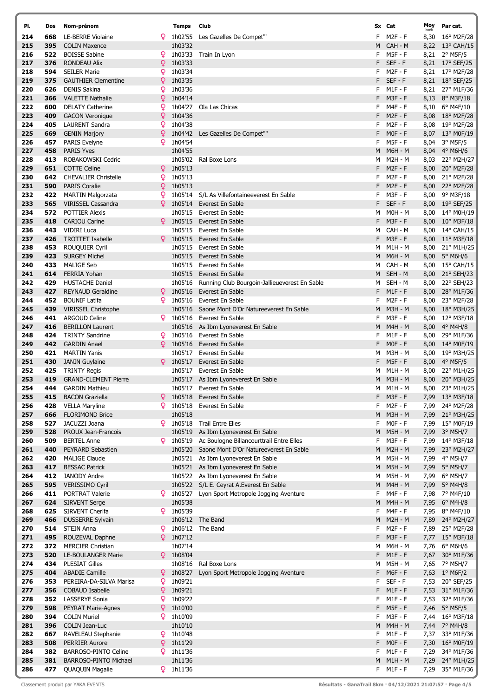| PI.        | Dos        | Nom-prénom                                          |        | <b>Temps</b>       | Club                                                                            |        | Sx Cat                      | Moy<br>km/h | Par cat.                                  |
|------------|------------|-----------------------------------------------------|--------|--------------------|---------------------------------------------------------------------------------|--------|-----------------------------|-------------|-------------------------------------------|
| 214        | 668        | LE-BERRE Violaine                                   |        |                    | 1h02'55 Les Gazelles De Compet"                                                 |        | $M2F - F$                   | 8,30        | 16° M2F/28                                |
| 215        | 395        | <b>COLIN Maxence</b>                                |        | 1h03'32            |                                                                                 | M      | CAH - M                     |             | 8,22 13° CAH/15                           |
| 216        | 522        | <b>BOISSE Sabine</b>                                | ¥      | 1h03'33            | Train In Lyon                                                                   | F      | <b>M5F - F</b>              |             | 8,21 2° M5F/5                             |
| 217        | 376        | <b>RONDEAU Alix</b>                                 | ¥      | 1h03'33            |                                                                                 | F      | $SEF - F$                   |             | 8,21 17° SEF/25                           |
| 218        | 594        | <b>SEILER Marie</b>                                 | Q      | 1h03'34            |                                                                                 | F      | <b>M2F - F</b>              |             | 8,21 17° M2F/28                           |
| 219<br>220 | 375<br>626 | <b>GAUTHIER Clementine</b><br><b>DENIS Sakina</b>   | Q<br>Q | 1h03'35<br>1h03'36 |                                                                                 | F<br>F | $SEF - F$<br>$M1F - F$      |             | 8,21 18° SEF/25<br>8,21 27° M1F/36        |
| 221        | 366        | <b>VALETTE Nathalie</b>                             | ò      | 1h04'14            |                                                                                 | F      | $M3F - F$                   |             | 8,13 8° M3F/18                            |
| 222        | 600        | <b>DELATY Catherine</b>                             | Q      | 1h04'27            | Ola Las Chicas                                                                  | F      | M4F - F                     |             | 8,10 6° M4F/10                            |
| 223        | 409        | <b>GACON Veronique</b>                              | Q      | 1h04'36            |                                                                                 | F      | $M2F - F$                   |             | 8,08 18° M2F/28                           |
| 224        | 405        | <b>LAURENT Sandra</b>                               | Q      | 1h04'38            |                                                                                 | F      | $M2F - F$                   |             | 8,08 19° M2F/28                           |
| 225        | 669        | <b>GENIN Marjory</b>                                | ¥      |                    | 1h04'42 Les Gazelles De Compet""                                                | F      | $MOF - F$                   |             | 8,07 13° M0F/19                           |
| 226        | 457        | <b>PARIS Evelyne</b>                                | Q      | 1h04'54            |                                                                                 | F      | <b>M5F - F</b>              | 8,04        | 3° M5F/5                                  |
| 227        | 458        | <b>PARIS Yves</b>                                   |        | 1h04'55            |                                                                                 | M      | M6H - M                     |             | 8,04 4° M6H/6                             |
| 228        | 413        | ROBAKOWSKI Cedric                                   |        | 1h05'02            | Ral Boxe Lons                                                                   | M      | M2H - M                     |             | 8,03 22° M2H/27                           |
| 229        | 651<br>642 | <b>COTTE Celine</b>                                 | Q.     | 1h05'13<br>1h05'13 |                                                                                 | F      | $M2F - F$                   |             | 8,00 20° M2F/28                           |
| 230<br>231 | 590        | <b>CHEVALIER Christelle</b><br><b>PARIS Coralie</b> | Q<br>Q | 1h05'13            |                                                                                 | F<br>F | <b>M2F - F</b><br>$M2F - F$ |             | 8,00 21° M2F/28<br>8,00 22° M2F/28        |
| 232        | 422        | <b>MARTIN Malgorzata</b>                            | Q      |                    | 1h05'14 S/L As Villefontaineeverest En Sable                                    | F      | M3F - F                     |             | 8,00 9° M3F/18                            |
| 233        | 565        | <b>VIRISSEL Cassandra</b>                           | Q      |                    | 1h05'14 Everest En Sable                                                        | F      | $SEF - F$                   |             | 8,00 19° SEF/25                           |
| 234        | 572        | <b>POTTIER Alexis</b>                               |        |                    | 1h05'15 Everest En Sable                                                        | М      | $MOH - M$                   |             | 8,00 14° M0H/19                           |
| 235        | 418        | <b>CARIOU Carine</b>                                |        |                    | 9 1h05'15 Everest En Sable                                                      | F      | $M3F - F$                   |             | 8,00 10° M3F/18                           |
| 236        | 443        | VIDIRI Luca                                         |        |                    | 1h05'15 Everest En Sable                                                        | м      | CAH - M                     |             | 8,00 14° CAH/15                           |
| 237        | 426        | <b>TROTTET Isabelle</b>                             | Q      |                    | 1h05'15 Everest En Sable                                                        | F      | $M3F - F$                   |             | 8,00 11° M3F/18                           |
| 238        | 453        | <b>ROUQUIER Cyril</b>                               |        |                    | 1h05'15 Everest En Sable                                                        | M      | M1H - M                     |             | 8,00 21° M1H/25                           |
| 239        | 423        | <b>SURGEY Michel</b>                                |        | 1h05'15            | Everest En Sable                                                                | M      | M6H - M                     | 8,00        | $5^\circ$ M6H/6                           |
| 240<br>241 | 433<br>614 | <b>MALIGE Seb</b><br><b>FERRIA Yohan</b>            |        | 1h05'15            | 1h05'15 Everest En Sable<br>Everest En Sable                                    | м<br>M | CAH - M<br>SEH - M          |             | 8,00 15° CAH/15<br>8,00 21° SEH/23        |
| 242        | 429        | <b>HUSTACHE Daniel</b>                              |        |                    | 1h05'16 Running Club Bourgoin-Jallieueverest En Sable                           | м      | SEH - M                     |             | 8,00 22° SEH/23                           |
| 243        | 427        | <b>REYNAUD Geraldine</b>                            | ¥      | 1h05'16            | Everest En Sable                                                                | F      | $M1F - F$                   | 8,00        | 28° M1F/36                                |
| 244        | 452        | <b>BOUNIF Latifa</b>                                | Q      |                    | 1h05'16 Everest En Sable                                                        | F      | <b>M2F - F</b>              |             | 8,00 23° M2F/28                           |
| 245        | 439        | <b>VIRISSEL Christophe</b>                          |        | 1h05'16            | Saone Mont D'Or Natureeverest En Sable                                          | M      | <b>M3H - M</b>              | 8,00        | $18^{\circ}$ M3H/25                       |
| 246        | 441        | <b>ARGOUD Celine</b>                                | Q      |                    | 1h05'16 Everest En Sable                                                        | F      | <b>M3F - F</b>              | 8,00        | 12° M3F/18                                |
| 247        | 416        | <b>BERILLON Laurent</b>                             |        | 1h05'16            | As Ibm Lyoneverest En Sable                                                     | M      | M4H - M                     | 8,00        | 4° M4H/8                                  |
| 248        | 424        | <b>TRINTY Sandrine</b>                              | Q.     |                    | 1h05'16 Everest En Sable                                                        | F      | $M1F - F$                   |             | 8,00 29° M1F/36                           |
| 249        | 442        | <b>GARDIN Anael</b>                                 | Q      | 1h05'16            | Everest En Sable                                                                | F      | $MOF - F$                   |             | 8,00 14° M0F/19                           |
| 250<br>251 | 421<br>430 | <b>MARTIN Yanis</b>                                 | Q.     |                    | 1h05'17 Everest En Sable<br>1h05'17 Everest En Sable                            | М<br>F | M3H - M<br>$M5F - F$        |             | 8,00 19° M3H/25<br>4° M5F/5               |
| 252        | 425        | <b>JANIN Guylaine</b><br><b>TRINTY Regis</b>        |        | 1h05'17            | Everest En Sable                                                                | M      | M1H - M                     | 8,00        | 8,00 22° M1H/25                           |
| 253        | 419        | <b>GRAND-CLEMENT Pierre</b>                         |        |                    | 1h05'17 As Ibm Lyoneverest En Sable                                             | M      | <b>M3H - M</b>              |             | 8,00 20° M3H/25                           |
| 254        | 444        | <b>GARDIN Mathieu</b>                               |        |                    | 1h05'17 Everest En Sable                                                        | м      | M1H - M                     |             | 8,00 23° M1H/25                           |
| 255        | 415        | <b>BACON Graziella</b>                              | Q      |                    | 1h05'18 Everest En Sable                                                        | F      | M3F - F                     |             | 7,99 13° M3F/18                           |
| 256        | 428        | <b>VELLA Maryline</b>                               | Q      | 1h05'18            | Everest En Sable                                                                | F      | $M2F - F$                   |             | 7,99 24° M2F/28                           |
| 257        | 666        | <b>FLORIMOND Brice</b>                              |        | 1h05'18            |                                                                                 | M      | M3H - M                     |             | 7,99 21° M3H/25                           |
| 258        | 527        | JACUZZI Joana                                       |        | $9 \t1h05'18$      | <b>Trail Entre Elles</b>                                                        | F      | $MOF - F$                   |             | 7,99 15° M0F/19                           |
| 259<br>260 | 528<br>509 | PROUX Jean-Francois<br><b>BERTEL Anne</b>           |        | $9 \t1h05'19$      | 1h05'19 As Ibm Lyoneverest En Sable<br>Ac Boulogne Billancourttrail Entre Elles | M<br>F | <b>M5H - M</b><br>$M3F - F$ |             | 7,99 3° M5H/7<br>7,99 14° M3F/18          |
| 261        | 440        | PEYRARD Sebastien                                   |        | 1h05'20            | Saone Mont D'Or Natureeverest En Sable                                          | M      | $M2H - M$                   |             | 7,99 23° M2H/27                           |
| 262        | 420        | <b>MALIGE Claude</b>                                |        |                    | 1h05'21 As Ibm Lyoneverest En Sable                                             | М      | M5H - M                     |             | 7,99 4° M5H/7                             |
| 263        | 417        | <b>BESSAC Patrick</b>                               |        |                    | 1h05'21 As Ibm Lyoneverest En Sable                                             | M      | <b>M5H - M</b>              |             | 7,99 5° M5H/7                             |
| 264        | 412        | <b>JANODY Andre</b>                                 |        |                    | 1h05'22 As Ibm Lyoneverest En Sable                                             | М      | <b>M5H - M</b>              |             | 7,99 6° M5H/7                             |
| 265        | 595        | VERISSIMO Cyril                                     |        |                    | 1h05'22 S/L E. Ceyrat A. Everest En Sable                                       | M      | <b>M4H - M</b>              | 7,99        | $5^{\circ}$ M4H/8                         |
| 266        | 411        | PORTRAT Valerie                                     |        |                    | <b>9</b> 1h05'27 Lyon Sport Metropole Jogging Aventure                          | F      | <b>M4F - F</b>              |             | 7,98 7° M4F/10                            |
| 267        | 624        | <b>SIRVENT Serge</b>                                |        | 1h05'38            |                                                                                 | M      | M4H - M                     |             | 7,95 6° M4H/8                             |
| 268        | 625        | SIRVENT Cherifa<br><b>DUSSERRE Sylvain</b>          | Q.     | 1h05'39            | 1h06'12 The Band                                                                | F      | <b>M4F - F</b>              |             | 7,95 8° M4F/10                            |
| 269<br>270 | 466<br>514 | <b>STEIN Anna</b>                                   | ¥      |                    | 1h06'12 The Band                                                                | M<br>F | <b>M2H - M</b><br>$M2F - F$ |             | 7,89 24° M2H/27<br>7,89 25° M2F/28        |
| 271        | 495        | ROUZEVAL Daphne                                     | Q.     | 1h07'12            |                                                                                 | F      | $M3F - F$                   |             | 7,77 15° M3F/18                           |
| 272        | 372        | <b>MERCIER Christian</b>                            |        | 1h07'14            |                                                                                 | М      | M6H - M                     |             | 7,76 6° M6H/6                             |
| 273        | 520        | LE-BOULANGER Marie                                  |        | $9$ 1h08'04        |                                                                                 | F      | $M1F - F$                   | 7,67        | 30° M1F/36                                |
| 274        | 434        | <b>PLESIAT Gilles</b>                               |        | 1h08'16            | Ral Boxe Lons                                                                   | М      | <b>M5H - M</b>              |             | 7,65 7° M5H/7                             |
| 275        | 404        | <b>ABADIE Camille</b>                               | Q.     | 1h08'27            | Lyon Sport Metropole Jogging Aventure                                           | F      | $MGF - F$                   |             | 7,63 $1^{\circ}$ M6F/2                    |
| 276        | 353        | PEREIRA-DA-SILVA Marisa                             | Q      | 1h09'21            |                                                                                 | F.     | $SEF - F$                   |             | 7,53 20° SEF/25                           |
| 277        | 356        | <b>COBAUD Isabelle</b>                              | Q      | 1h09'21            |                                                                                 | F      | $M1F - F$                   |             | 7,53 31° M1F/36                           |
| 278<br>279 | 352<br>598 | <b>LASSERYE Sonia</b><br>PEYRAT Marie-Agnes         | Q<br>Q | 1h09'22<br>1h10'00 |                                                                                 | F<br>F | $M1F - F$<br>$M5F - F$      |             | 7,53 32° M1F/36<br>7,46 $5^{\circ}$ M5F/5 |
| 280        | 394        | <b>COLIN Muriel</b>                                 | Q      | 1h10'09            |                                                                                 | F      | $M3F - F$                   |             | 7,44 16° M3F/18                           |
| 281        | 396        | COLIN Jean-Luc                                      |        | 1h10'10            |                                                                                 | M      | <b>M4H - M</b>              |             | 7,44 7° M4H/8                             |
| 282        | 667        | RAVELEAU Stephanie                                  | Q.     | 1h10'48            |                                                                                 | F      | $M1F - F$                   |             | 7,37 33° M1F/36                           |
| 283        | 508        | <b>PERRIER Aurore</b>                               |        | $9$ 1h11'29        |                                                                                 | F      | $MOF - F$                   |             | 7,30 16° M0F/19                           |
| 284        | 382        | <b>BARROSO-PINTO Celine</b>                         | Q      | 1h11'36            |                                                                                 | F      | $M1F - F$                   | 7,29        | 34° M1F/36                                |
| 285        | 381        | BARROSO-PINTO Michael                               |        | 1h11'36            |                                                                                 | M      | $M1H - M$                   |             | 7,29 24° M1H/25                           |
| 286        | 477        | <b>QUAQUIN Magalie</b>                              |        | $9$ 1h11'36        |                                                                                 |        | $F$ M1F-F                   |             | 7,29 35° M1F/36                           |